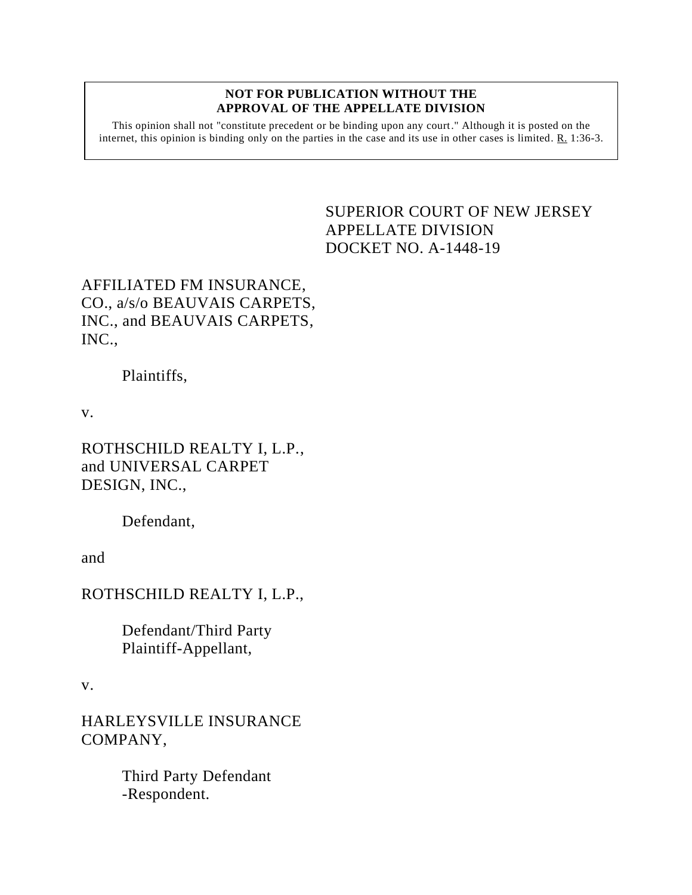#### **NOT FOR PUBLICATION WITHOUT THE APPROVAL OF THE APPELLATE DIVISION**

This opinion shall not "constitute precedent or be binding upon any court." Although it is posted on the internet, this opinion is binding only on the parties in the case and its use in other cases is limited. R. 1:36-3.

# <span id="page-0-0"></span>SUPERIOR COURT OF NEW JERSEY APPELLATE DIVISION DOCKET NO. A-1448-19

# AFFILIATED FM INSURANCE, CO., a/s/o BEAUVAIS CARPETS, INC., and BEAUVAIS CARPETS, INC.,

### Plaintiffs,

v.

ROTHSCHILD REALTY I, L.P., and UNIVERSAL CARPET DESIGN, INC.,

Defendant,

and

ROTHSCHILD REALTY I, L.P.,

Defendant/Third Party Plaintiff-Appellant,

v.

HARLEYSVILLE INSURANCE COMPANY,

> Third Party Defendant -Respondent.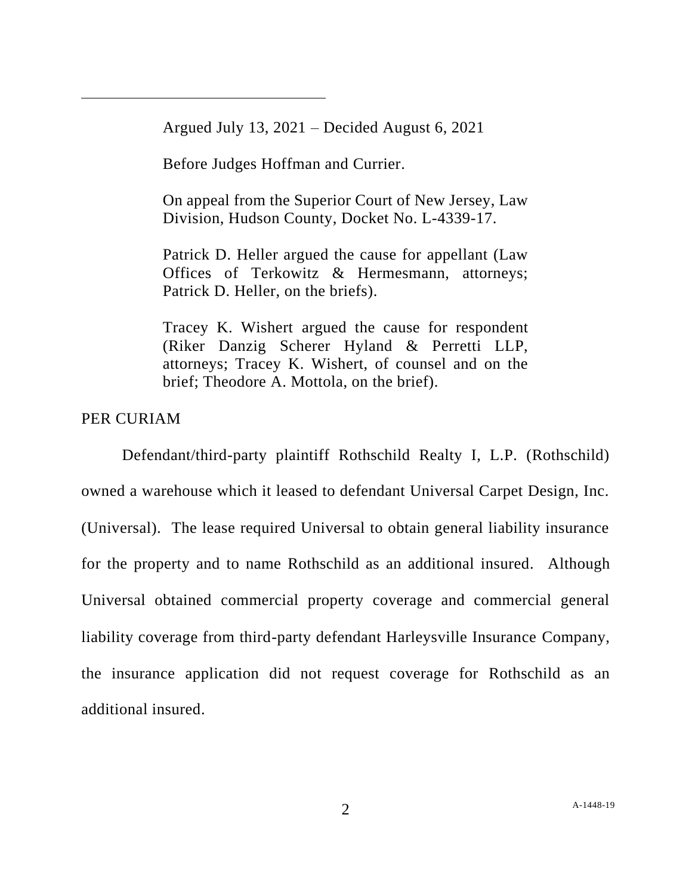Argued July 13, 2021 – Decided August 6, 2021

Before Judges Hoffman and Currier.

On appeal from the Superior Court of New Jersey, Law Division, Hudson County, Docket No. L-4339-17.

Patrick D. Heller argued the cause for appellant (Law Offices of Terkowitz & Hermesmann, attorneys; Patrick D. Heller, on the briefs).

Tracey K. Wishert argued the cause for respondent (Riker Danzig Scherer Hyland & Perretti LLP, attorneys; Tracey K. Wishert, of counsel and on the brief; Theodore A. Mottola, on the brief).

# PER CURIAM

Defendant/third-party plaintiff Rothschild Realty I, L.P. (Rothschild) owned a warehouse which it leased to defendant Universal Carpet Design, Inc. (Universal). The lease required Universal to obtain general liability insurance for the property and to name Rothschild as an additional insured. Although Universal obtained commercial property coverage and commercial general liability coverage from third-party defendant Harleysville Insurance Company, the insurance application did not request coverage for Rothschild as an additional insured.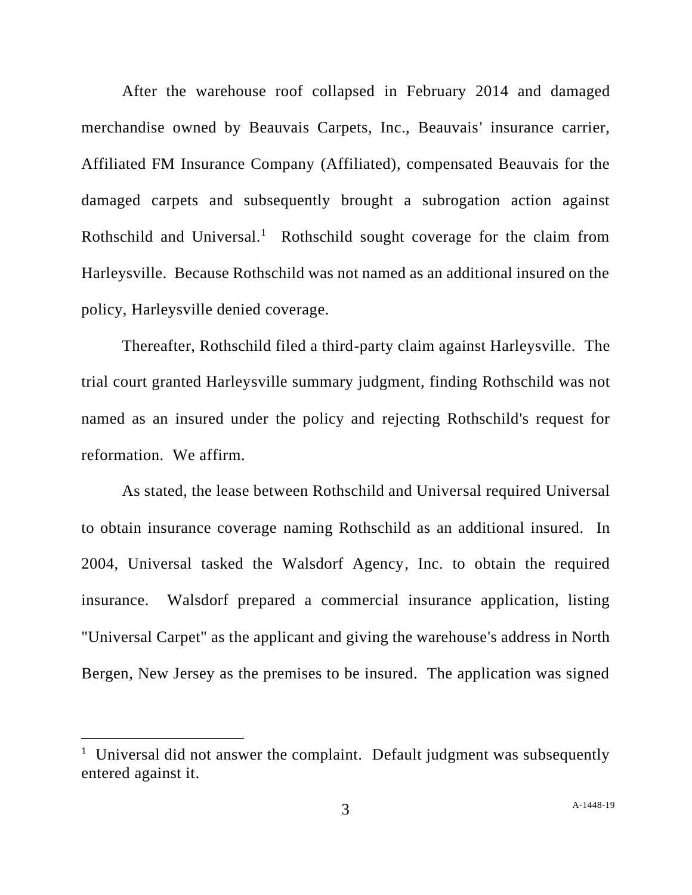After the warehouse roof collapsed in February 2014 and damaged merchandise owned by Beauvais Carpets, Inc., Beauvais' insurance carrier, Affiliated FM Insurance Company (Affiliated), compensated Beauvais for the damaged carpets and subsequently brought a subrogation action against Rothschild and Universal.<sup>1</sup> Rothschild sought coverage for the claim from Harleysville. Because Rothschild was not named as an additional insured on the policy, Harleysville denied coverage.

Thereafter, Rothschild filed a third-party claim against Harleysville. The trial court granted Harleysville summary judgment, finding Rothschild was not named as an insured under the policy and rejecting Rothschild's request for reformation. We affirm.

As stated, the lease between Rothschild and Universal required Universal to obtain insurance coverage naming Rothschild as an additional insured. In 2004, Universal tasked the Walsdorf Agency, Inc. to obtain the required insurance. Walsdorf prepared a commercial insurance application, listing "Universal Carpet" as the applicant and giving the warehouse's address in North Bergen, New Jersey as the premises to be insured. The application was signed

<sup>&</sup>lt;sup>1</sup> Universal did not answer the complaint. Default judgment was subsequently entered against it.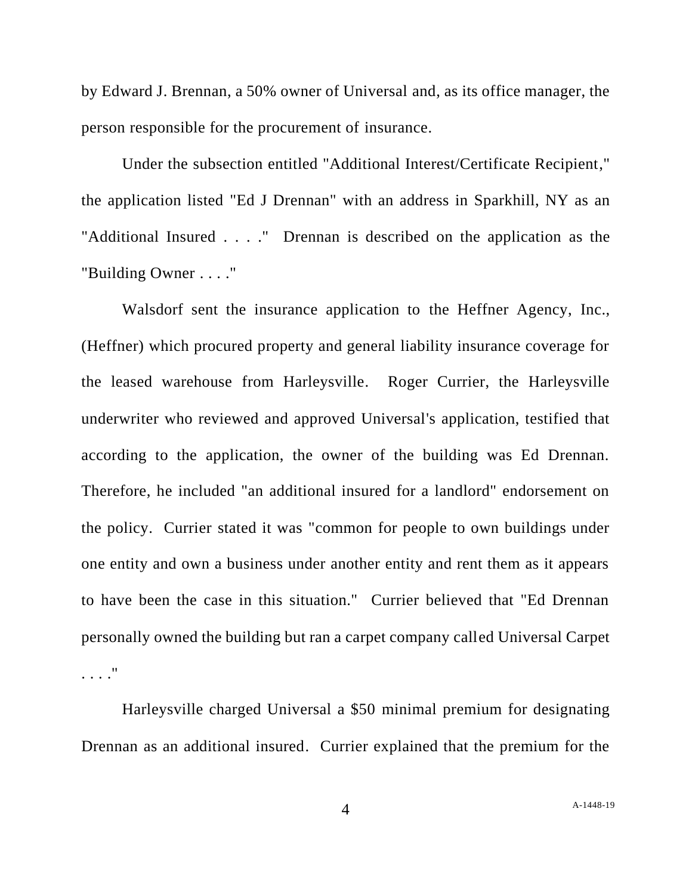by Edward J. Brennan, a 50% owner of Universal and, as its office manager, the person responsible for the procurement of insurance.

Under the subsection entitled "Additional Interest/Certificate Recipient," the application listed "Ed J Drennan" with an address in Sparkhill, NY as an "Additional Insured . . . ." Drennan is described on the application as the "Building Owner . . . ."

Walsdorf sent the insurance application to the Heffner Agency, Inc., (Heffner) which procured property and general liability insurance coverage for the leased warehouse from Harleysville. Roger Currier, the Harleysville underwriter who reviewed and approved Universal's application, testified that according to the application, the owner of the building was Ed Drennan. Therefore, he included "an additional insured for a landlord" endorsement on the policy. Currier stated it was "common for people to own buildings under one entity and own a business under another entity and rent them as it appears to have been the case in this situation." Currier believed that "Ed Drennan personally owned the building but ran a carpet company called Universal Carpet . . . ."

Harleysville charged Universal a \$50 minimal premium for designating Drennan as an additional insured. Currier explained that the premium for the

A[-1448-19](#page-0-0)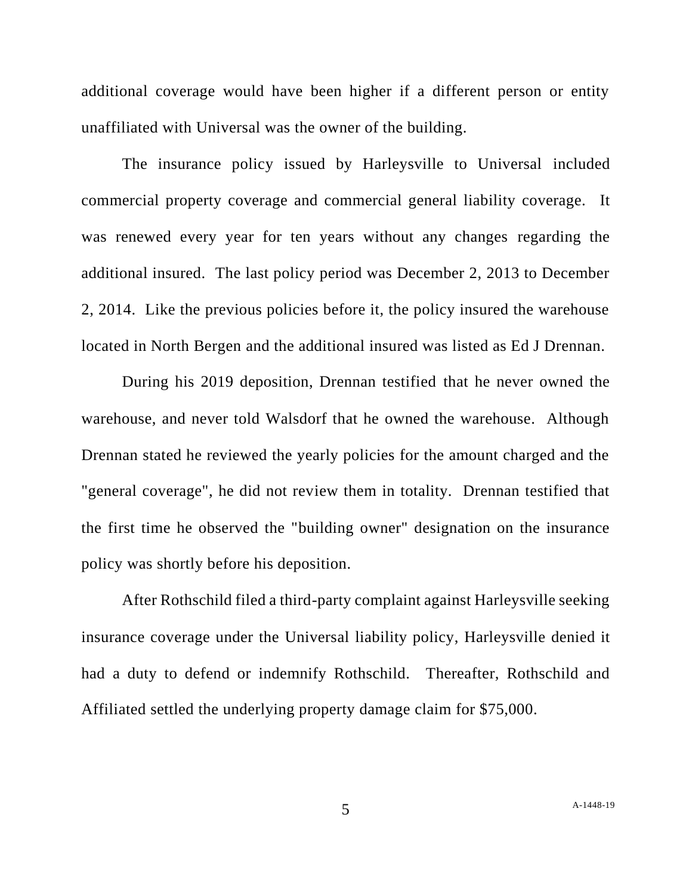additional coverage would have been higher if a different person or entity unaffiliated with Universal was the owner of the building.

The insurance policy issued by Harleysville to Universal included commercial property coverage and commercial general liability coverage. It was renewed every year for ten years without any changes regarding the additional insured. The last policy period was December 2, 2013 to December 2, 2014. Like the previous policies before it, the policy insured the warehouse located in North Bergen and the additional insured was listed as Ed J Drennan.

During his 2019 deposition, Drennan testified that he never owned the warehouse, and never told Walsdorf that he owned the warehouse. Although Drennan stated he reviewed the yearly policies for the amount charged and the "general coverage", he did not review them in totality. Drennan testified that the first time he observed the "building owner" designation on the insurance policy was shortly before his deposition.

After Rothschild filed a third-party complaint against Harleysville seeking insurance coverage under the Universal liability policy, Harleysville denied it had a duty to defend or indemnify Rothschild. Thereafter, Rothschild and Affiliated settled the underlying property damage claim for \$75,000.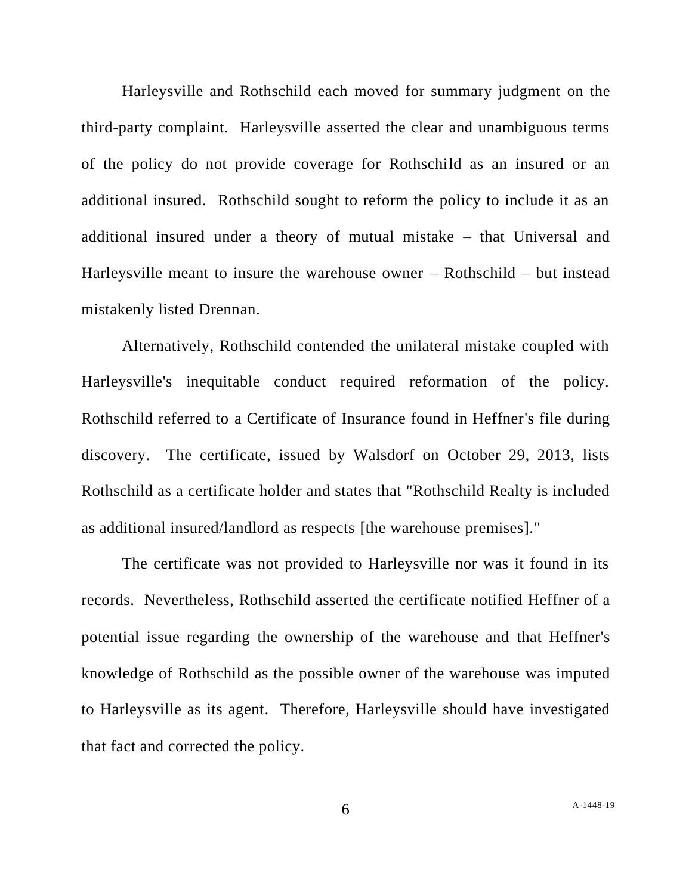Harleysville and Rothschild each moved for summary judgment on the third-party complaint. Harleysville asserted the clear and unambiguous terms of the policy do not provide coverage for Rothschild as an insured or an additional insured. Rothschild sought to reform the policy to include it as an additional insured under a theory of mutual mistake – that Universal and Harleysville meant to insure the warehouse owner – Rothschild – but instead mistakenly listed Drennan.

Alternatively, Rothschild contended the unilateral mistake coupled with Harleysville's inequitable conduct required reformation of the policy. Rothschild referred to a Certificate of Insurance found in Heffner's file during discovery. The certificate, issued by Walsdorf on October 29, 2013, lists Rothschild as a certificate holder and states that "Rothschild Realty is included as additional insured/landlord as respects [the warehouse premises]."

The certificate was not provided to Harleysville nor was it found in its records. Nevertheless, Rothschild asserted the certificate notified Heffner of a potential issue regarding the ownership of the warehouse and that Heffner's knowledge of Rothschild as the possible owner of the warehouse was imputed to Harleysville as its agent. Therefore, Harleysville should have investigated that fact and corrected the policy.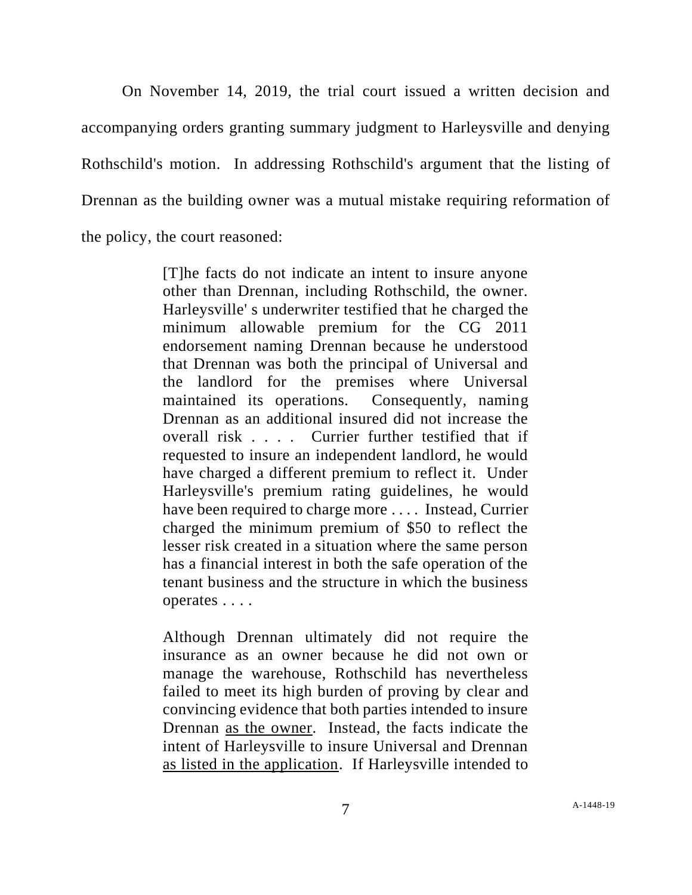On November 14, 2019, the trial court issued a written decision and accompanying orders granting summary judgment to Harleysville and denying Rothschild's motion. In addressing Rothschild's argument that the listing of Drennan as the building owner was a mutual mistake requiring reformation of the policy, the court reasoned:

> [T]he facts do not indicate an intent to insure anyone other than Drennan, including Rothschild, the owner. Harleysville' s underwriter testified that he charged the minimum allowable premium for the CG 2011 endorsement naming Drennan because he understood that Drennan was both the principal of Universal and the landlord for the premises where Universal maintained its operations. Consequently, naming Drennan as an additional insured did not increase the overall risk . . . . Currier further testified that if requested to insure an independent landlord, he would have charged a different premium to reflect it. Under Harleysville's premium rating guidelines, he would have been required to charge more .... Instead, Currier charged the minimum premium of \$50 to reflect the lesser risk created in a situation where the same person has a financial interest in both the safe operation of the tenant business and the structure in which the business operates . . . .

> Although Drennan ultimately did not require the insurance as an owner because he did not own or manage the warehouse, Rothschild has nevertheless failed to meet its high burden of proving by clear and convincing evidence that both parties intended to insure Drennan as the owner. Instead, the facts indicate the intent of Harleysville to insure Universal and Drennan as listed in the application. If Harleysville intended to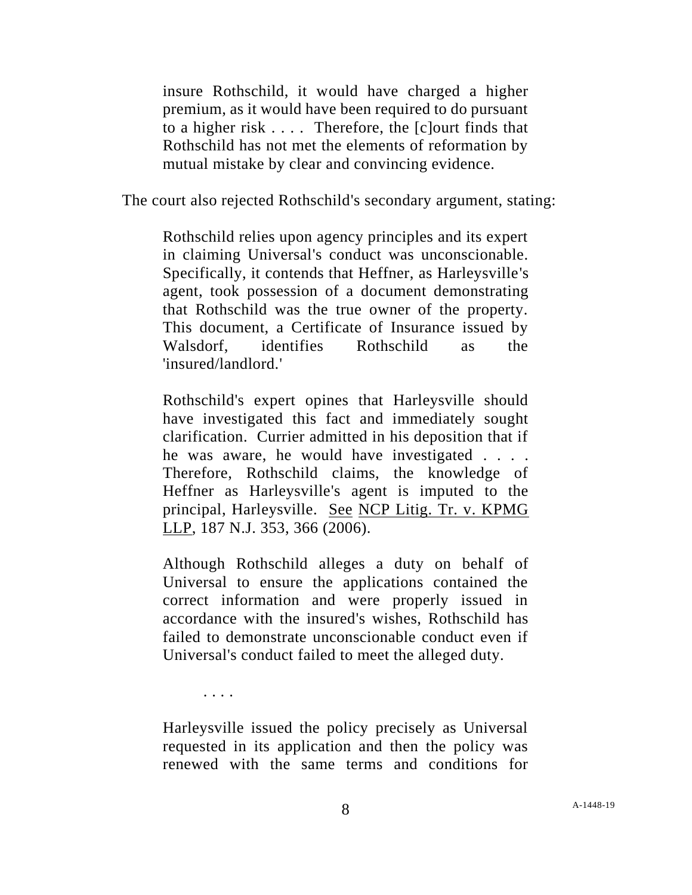insure Rothschild, it would have charged a higher premium, as it would have been required to do pursuant to a higher risk . . . . Therefore, the [c]ourt finds that Rothschild has not met the elements of reformation by mutual mistake by clear and convincing evidence.

The court also rejected Rothschild's secondary argument, stating:

Rothschild relies upon agency principles and its expert in claiming Universal's conduct was unconscionable. Specifically, it contends that Heffner, as Harleysville's agent, took possession of a document demonstrating that Rothschild was the true owner of the property. This document, a Certificate of Insurance issued by Walsdorf, identifies Rothschild as the 'insured/landlord.'

Rothschild's expert opines that Harleysville should have investigated this fact and immediately sought clarification. Currier admitted in his deposition that if he was aware, he would have investigated . . . . Therefore, Rothschild claims, the knowledge of Heffner as Harleysville's agent is imputed to the principal, Harleysville. See NCP Litig. Tr. v. KPMG LLP, 187 N.J. 353, 366 (2006).

Although Rothschild alleges a duty on behalf of Universal to ensure the applications contained the correct information and were properly issued in accordance with the insured's wishes, Rothschild has failed to demonstrate unconscionable conduct even if Universal's conduct failed to meet the alleged duty.

. . . .

Harleysville issued the policy precisely as Universal requested in its application and then the policy was renewed with the same terms and conditions for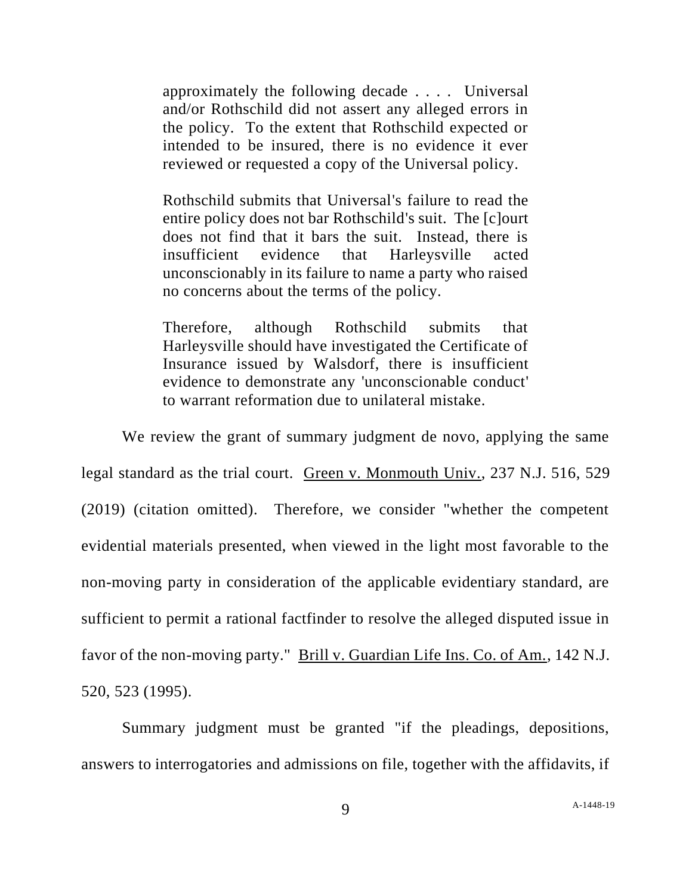approximately the following decade . . . . Universal and/or Rothschild did not assert any alleged errors in the policy. To the extent that Rothschild expected or intended to be insured, there is no evidence it ever reviewed or requested a copy of the Universal policy.

Rothschild submits that Universal's failure to read the entire policy does not bar Rothschild's suit. The [c]ourt does not find that it bars the suit. Instead, there is insufficient evidence that Harleysville acted unconscionably in its failure to name a party who raised no concerns about the terms of the policy.

Therefore, although Rothschild submits that Harleysville should have investigated the Certificate of Insurance issued by Walsdorf, there is insufficient evidence to demonstrate any 'unconscionable conduct' to warrant reformation due to unilateral mistake.

We review the grant of summary judgment de novo, applying the same legal standard as the trial court. Green v. Monmouth Univ., 237 N.J. 516, 529 (2019) (citation omitted). Therefore, we consider "whether the competent evidential materials presented, when viewed in the light most favorable to the non-moving party in consideration of the applicable evidentiary standard, are sufficient to permit a rational factfinder to resolve the alleged disputed issue in favor of the non-moving party." Brill v. Guardian Life Ins. Co. of Am., 142 N.J. 520, 523 (1995).

Summary judgment must be granted "if the pleadings, depositions, answers to interrogatories and admissions on file, together with the affidavits, if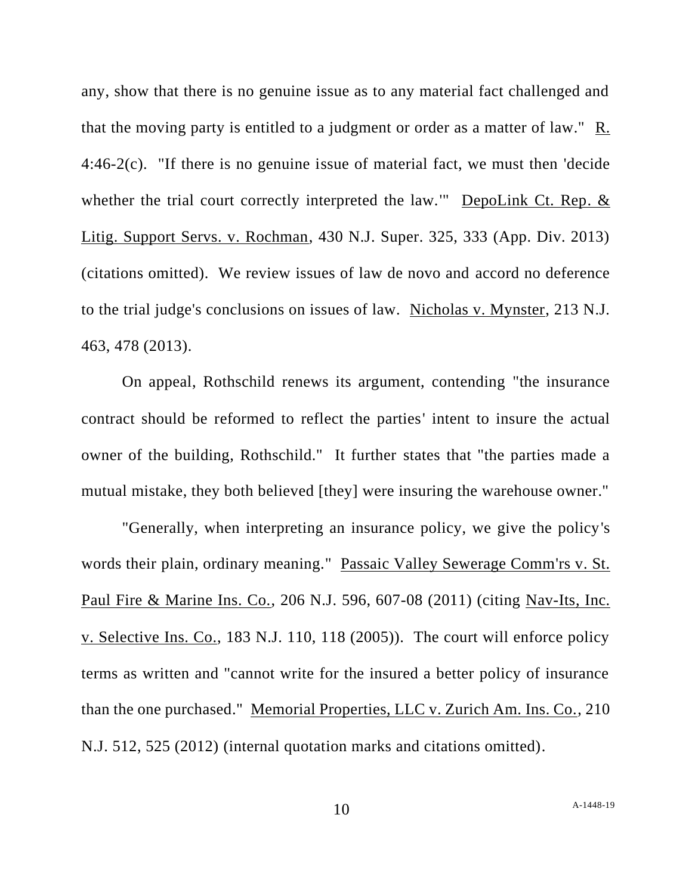any, show that there is no genuine issue as to any material fact challenged and that the moving party is entitled to a judgment or order as a matter of law." R. 4:46-2(c). "If there is no genuine issue of material fact, we must then 'decide whether the trial court correctly interpreted the law.'" DepoLink Ct. Rep. & Litig. Support Servs. v. Rochman, 430 N.J. Super. 325, 333 (App. Div. 2013) (citations omitted). We review issues of law de novo and accord no deference to the trial judge's conclusions on issues of law. Nicholas v. Mynster, 213 N.J. 463, 478 (2013).

On appeal, Rothschild renews its argument, contending "the insurance contract should be reformed to reflect the parties' intent to insure the actual owner of the building, Rothschild." It further states that "the parties made a mutual mistake, they both believed [they] were insuring the warehouse owner."

"Generally, when interpreting an insurance policy, we give the policy's words their plain, ordinary meaning." Passaic Valley Sewerage Comm'rs v. St. Paul Fire & Marine Ins. Co., 206 N.J. 596, 607-08 (2011) (citing Nav-Its, Inc. v. Selective Ins. Co., 183 N.J. 110, 118 (2005)). The court will enforce policy terms as written and "cannot write for the insured a better policy of insurance than the one purchased." Memorial Properties, LLC v. Zurich Am. Ins. Co., 210 N.J. 512, 525 (2012) (internal quotation marks and citations omitted).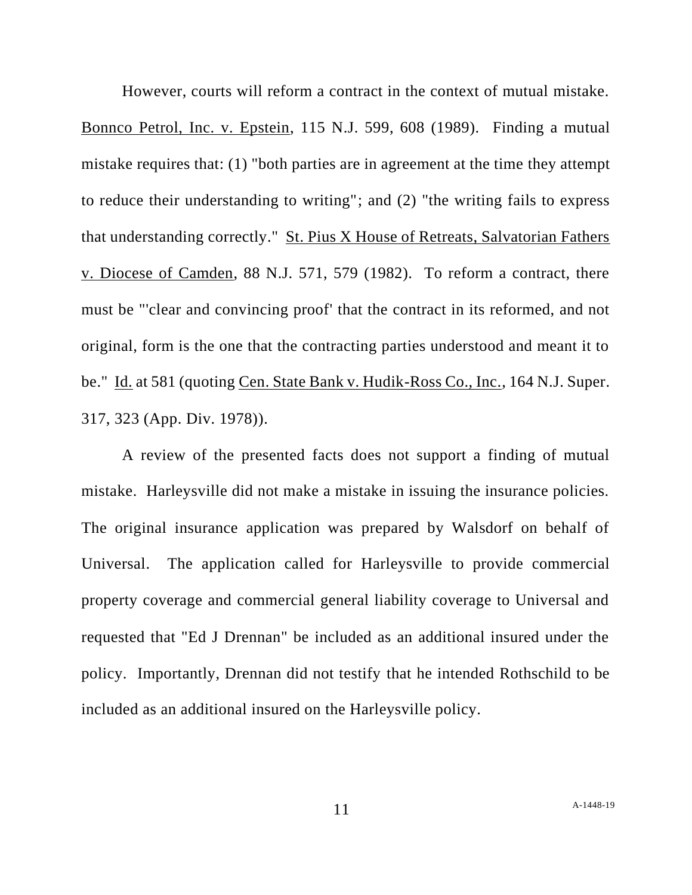However, courts will reform a contract in the context of mutual mistake. Bonnco Petrol, Inc. v. Epstein, 115 N.J. 599, 608 (1989). Finding a mutual mistake requires that: (1) "both parties are in agreement at the time they attempt to reduce their understanding to writing"; and (2) "the writing fails to express that understanding correctly." St. Pius X House of Retreats, Salvatorian Fathers v. Diocese of Camden, 88 N.J. 571, 579 (1982). To reform a contract, there must be "'clear and convincing proof' that the contract in its reformed, and not original, form is the one that the contracting parties understood and meant it to be." Id. at 581 (quoting Cen. State Bank v. Hudik-Ross Co., Inc., 164 N.J. Super. 317, 323 (App. Div. 1978)).

A review of the presented facts does not support a finding of mutual mistake. Harleysville did not make a mistake in issuing the insurance policies. The original insurance application was prepared by Walsdorf on behalf of Universal. The application called for Harleysville to provide commercial property coverage and commercial general liability coverage to Universal and requested that "Ed J Drennan" be included as an additional insured under the policy. Importantly, Drennan did not testify that he intended Rothschild to be included as an additional insured on the Harleysville policy.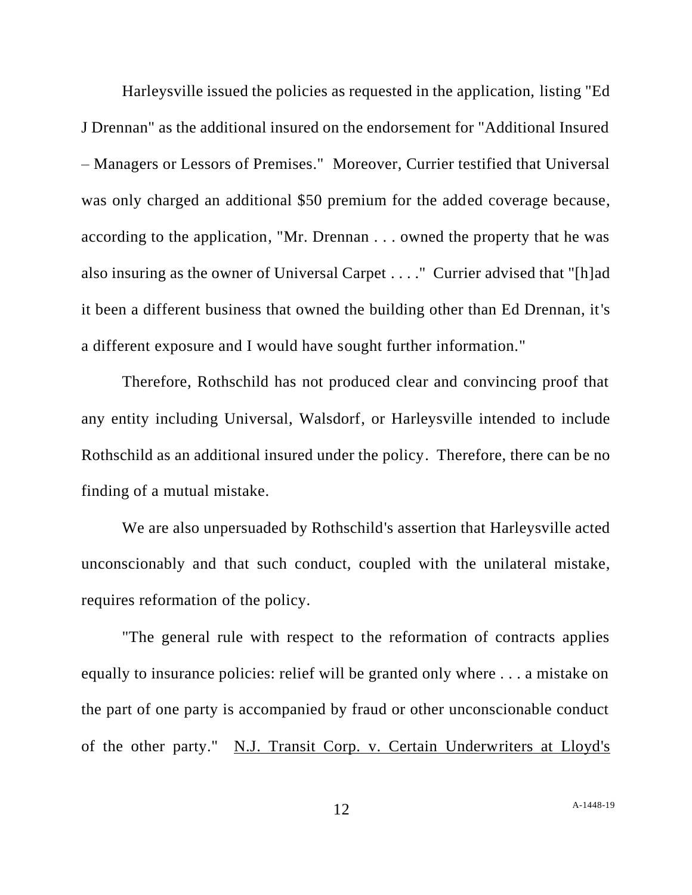Harleysville issued the policies as requested in the application, listing "Ed J Drennan" as the additional insured on the endorsement for "Additional Insured – Managers or Lessors of Premises." Moreover, Currier testified that Universal was only charged an additional \$50 premium for the added coverage because, according to the application, "Mr. Drennan . . . owned the property that he was also insuring as the owner of Universal Carpet . . . ." Currier advised that "[h]ad it been a different business that owned the building other than Ed Drennan, it's a different exposure and I would have sought further information."

Therefore, Rothschild has not produced clear and convincing proof that any entity including Universal, Walsdorf, or Harleysville intended to include Rothschild as an additional insured under the policy. Therefore, there can be no finding of a mutual mistake.

We are also unpersuaded by Rothschild's assertion that Harleysville acted unconscionably and that such conduct, coupled with the unilateral mistake, requires reformation of the policy.

"The general rule with respect to the reformation of contracts applies equally to insurance policies: relief will be granted only where . . . a mistake on the part of one party is accompanied by fraud or other unconscionable conduct of the other party." N.J. Transit Corp. v. Certain Underwriters at Lloyd's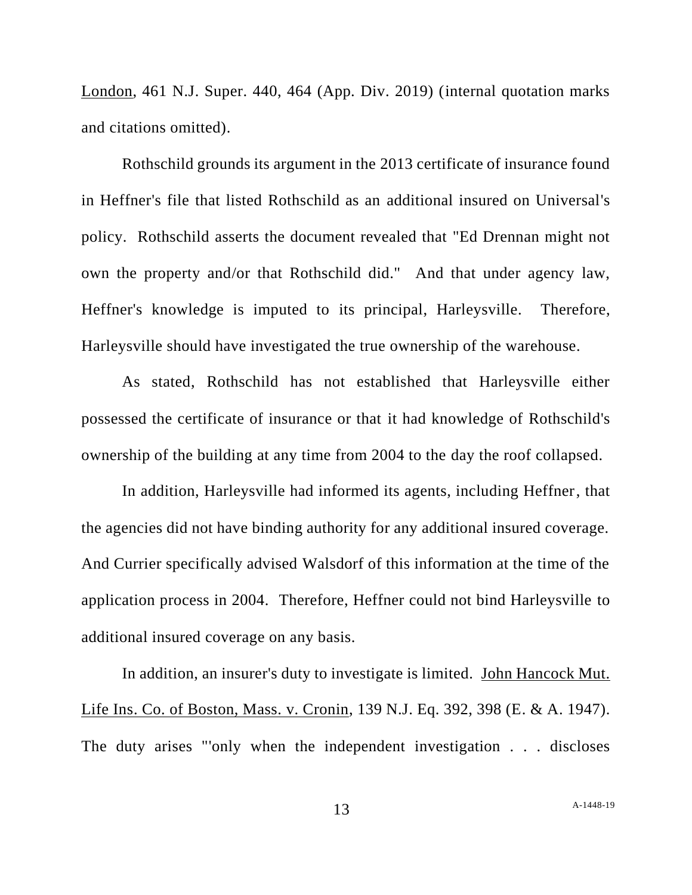London, 461 N.J. Super. 440, 464 (App. Div. 2019) (internal quotation marks and citations omitted).

Rothschild grounds its argument in the 2013 certificate of insurance found in Heffner's file that listed Rothschild as an additional insured on Universal's policy. Rothschild asserts the document revealed that "Ed Drennan might not own the property and/or that Rothschild did." And that under agency law, Heffner's knowledge is imputed to its principal, Harleysville. Therefore, Harleysville should have investigated the true ownership of the warehouse.

As stated, Rothschild has not established that Harleysville either possessed the certificate of insurance or that it had knowledge of Rothschild's ownership of the building at any time from 2004 to the day the roof collapsed.

In addition, Harleysville had informed its agents, including Heffner, that the agencies did not have binding authority for any additional insured coverage. And Currier specifically advised Walsdorf of this information at the time of the application process in 2004. Therefore, Heffner could not bind Harleysville to additional insured coverage on any basis.

In addition, an insurer's duty to investigate is limited. John Hancock Mut. Life Ins. Co. of Boston, Mass. v. Cronin, 139 N.J. Eq. 392, 398 (E. & A. 1947). The duty arises "'only when the independent investigation . . . discloses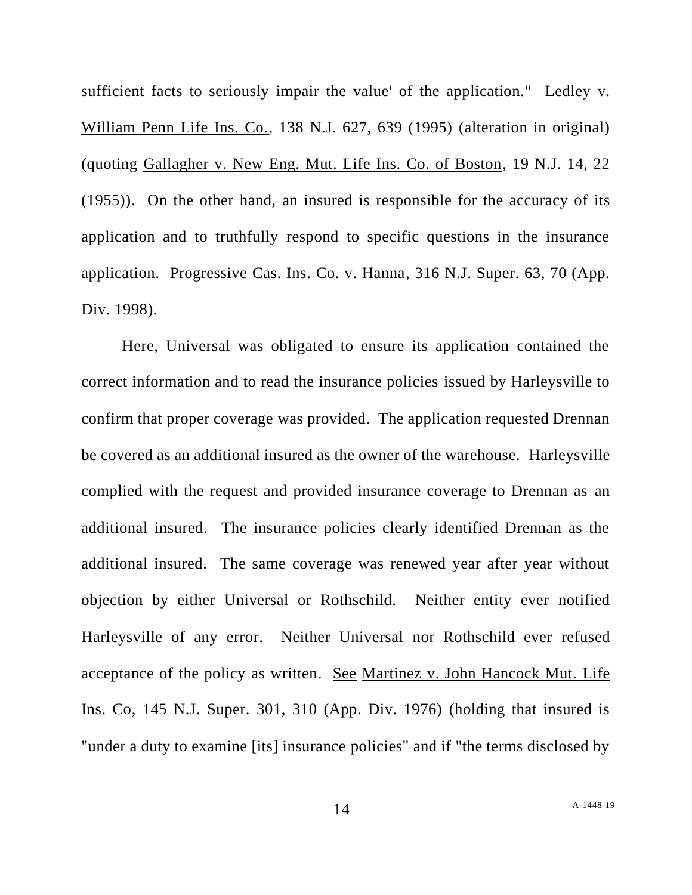sufficient facts to seriously impair the value' of the application." Ledley v. William Penn Life Ins. Co., 138 N.J. 627, 639 (1995) (alteration in original) (quoting Gallagher v. New Eng. Mut. Life Ins. Co. of Boston, 19 N.J. 14, 22 (1955)). On the other hand, an insured is responsible for the accuracy of its application and to truthfully respond to specific questions in the insurance application. Progressive Cas. Ins. Co. v. Hanna, 316 N.J. Super. 63, 70 (App. Div. 1998).

Here, Universal was obligated to ensure its application contained the correct information and to read the insurance policies issued by Harleysville to confirm that proper coverage was provided. The application requested Drennan be covered as an additional insured as the owner of the warehouse. Harleysville complied with the request and provided insurance coverage to Drennan as an additional insured. The insurance policies clearly identified Drennan as the additional insured. The same coverage was renewed year after year without objection by either Universal or Rothschild. Neither entity ever notified Harleysville of any error. Neither Universal nor Rothschild ever refused acceptance of the policy as written. See Martinez v. John Hancock Mut. Life Ins. Co, 145 N.J. Super. 301, 310 (App. Div. 1976) (holding that insured is "under a duty to examine [its] insurance policies" and if "the terms disclosed by